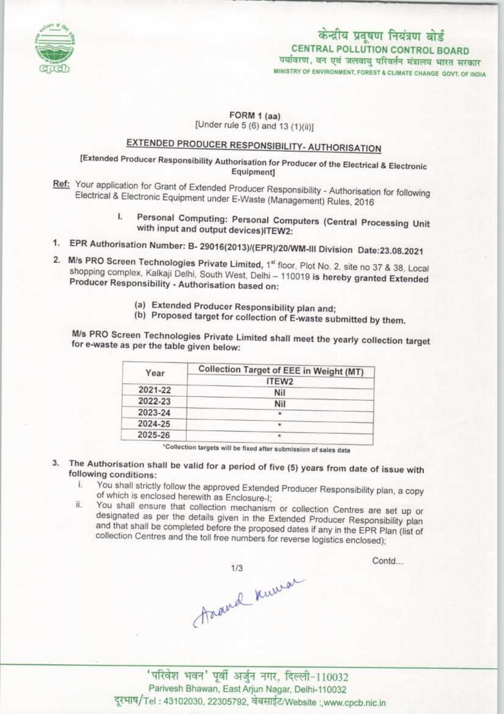

### केन्द्रीय प्रदूषण नियंत्रण बोर्ड CENTRAL POLLUTION CONTROL BOARD

पर्यावरण, वन एवं जलवायु परिवर्तन मंत्रालय भारत सरकार MINISTRY OF ENVIRONMENT, FOREST & CLIMATE CHANGE GOVT. OF INDIA

### FORM 1 (aa) [Under rule 5 (6) and 13  $(1)(ii)$ ]

### <u>EXTENDED PRODUCER RESPONSIBILITY- AUTHORISATION</u>

# Equipment]

- Ref: Your application for Grant of Extended Producer Responsibility Authorisation for following<br>Electrical & Electronic Equipment under E West (Material Authorisation for following Electrical & Electronic Equipment under E-Waste (Management) Rules, 2016
- 1. Personal Computing: Personal Computers (Central Processing Unit<br>with input and output devices)ITEW2:<br>1. EPR Authorisation Number: B-29016(2013)/(EPR)/20/WM-III Division Date:23.08.2021 Ł
- 
- 2. M/s PRO Screen Technologies Private Limited, 1<sup>st</sup> floor, Plot No. 2, site no 37 & 38, Local w/s PRO Screen Technologies Private Limited, 1ª floor, Plot No. 2, site no 37 & 38, Local<br>shopping complex, Kalkaji Delhi, South West, Delhi – 110019 is hereby granted Extended shopping complex, Kalkaji Delhi, South West, Delhi - 110019 is hereby granted Extended Producer Responsibility - Authorisation based on:
	- (a) Extended Producer Responsibility plan and;
	- (b) Proposed target for collection of E-waste submitted by them.

M/s PRO Screen Technologies Private Limited shall meet the yearly collection target for e-waste as per the table given below:

| Year    | Collection Target of EEE in Weight (MT) |
|---------|-----------------------------------------|
|         | ITEW2                                   |
| 2021-22 | Nil                                     |
| 2022-23 | Nil                                     |
| 2023-24 |                                         |
| 2024-25 |                                         |
| 2025-26 |                                         |

\*Collection targets will be fixed after submission of sales data

- 3. The Authorisation shall be valid for a period of five (5) years from date of issue with
	- following conditions:<br>i. You shall strictly follow the approved Extended Producer Responsibility plan, a copy<br>of which is enclosed herewith as Enclosure-I:
		- ii. You shall ensure that collection mechanism or collection Centres are set up or designated as per the details given in the Extended Producer Responsibility plan and that shall be completed before the proposed dates if any in the EPR Plan (list of collection Centres and the toll free numbers for reverse logistics enclosed);

traded knowa

Contd...

'परिवेश भवन' पूर्वी अर्जुन नगर, दिल्ली-110032 Parivesh Bhawan, East Arjun Nagar, Delhi-110032 दूरभाष/Tel: 43102030, 22305792, वेबसाईट/Website: www.cpcb.nic.in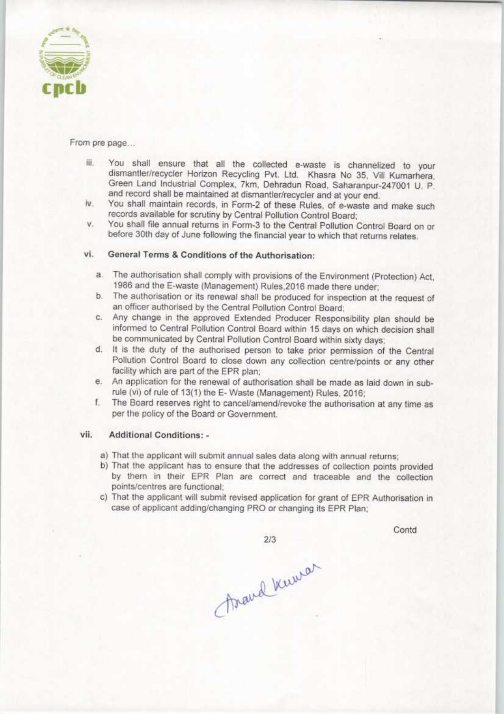

From pre page...

- iii. You shall ensure that all the collected e-waste is channelized to your dismantler/recycler Horizon Recycling Pvt. Ltd. Khasra No 35, Vill Kumarhera, Green Land Industrial Complex, 7km, Dehradun Road, Saharanpur-247001 U, P. and record shall be maintained at dismantler/recycler and at your end.
- iv. You shall maintain records, in Form-2 of these Rules, of e-waste and make such records available for scrutiny by Central Pollution Control Board;
- v. You shall file annual returns in Form-3 to the Central Pollution Control Board on or before 30th day of June following the financial year to which that returns relates.

#### vl. General Terms & Conditions of the Authorisation:

- a.The authorisation shall comply with provisions of the Environment (Protection) Act. 1986 and the E-waste (Management) Rules,2016 made there under;
- b. The authorisation or its renewal shall be produced for inspection at the request of an officer authorised by the Central Pollution Control Board;
- c.Any change in the approved Extended Producer Responsibility plan should be informed to Central Pollution Control Board within 15 days on which decision shall be communicated by Central Pollution Control Board within sixty days;
- d. It is the duty of the authorised person to take prior permission of the Central Pollution Control Board to close down any collection centre/points or any other facility which are part of the EPR plan;
- e. An application for the renewal of authorisation shall be made as laid down in subrule (vi) of rule of 13(1) the E-Waste (Management) Rules, 2016;
- f. The Board reserves right to cancel/amend/revoke the authorisation at any time as per the policy of the Board or Government.

#### vii. Additional Conditions: -

- a) That the applicant will submit annual sales data along with annual returns;
- b) That the applicant has to ensure that the addresses of collection points provided by them in their EPR Plan are correct and traceable and the collection points/centres are functional;
- c) That the applicant will submit revised application for grant of EPR Authorisation in case of applicant adding/changing PRO or changing its EPR Plan;

Contd

Arand Kewer

 $2/3$